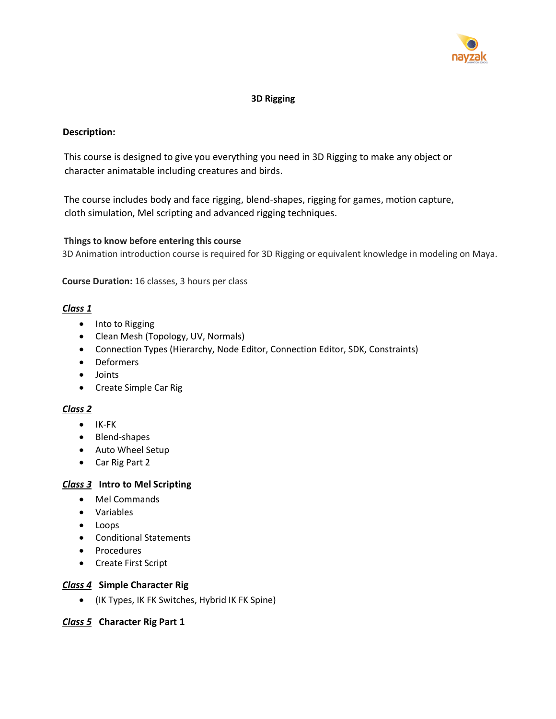

# **3D Rigging**

# **Description:**

This course is designed to give you everything you need in 3D Rigging to make any object or character animatable including creatures and birds.

The course includes body and face rigging, blend-shapes, rigging for games, motion capture, cloth simulation, Mel scripting and advanced rigging techniques.

## **Things to know before entering this course**

3D Animation introduction course is required for 3D Rigging or equivalent knowledge in modeling on Maya.

**Course Duration:** 16 classes, 3 hours per class

## *Class 1*

- Into to Rigging
- Clean Mesh (Topology, UV, Normals)
- Connection Types (Hierarchy, Node Editor, Connection Editor, SDK, Constraints)
- Deformers
- Joints
- Create Simple Car Rig

# *Class 2*

- IK-FK
- Blend-shapes
- Auto Wheel Setup
- Car Rig Part 2

## *Class 3* **Intro to Mel Scripting**

- Mel Commands
- Variables
- Loops
- Conditional Statements
- Procedures
- Create First Script

## *Class 4* **Simple Character Rig**

• (IK Types, IK FK Switches, Hybrid IK FK Spine)

## *Class 5* **Character Rig Part 1**